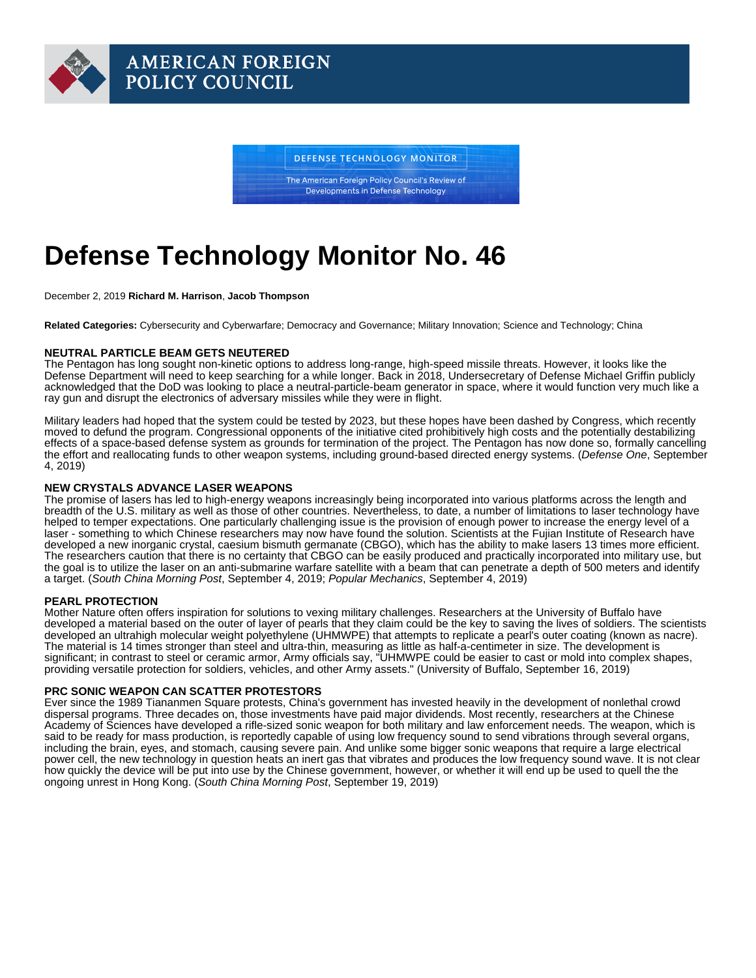# Defense Technology Monitor No. 46

December 2, 2019 Richard M. Harrison , Jacob Thompson

Related Categories: Cybersecurity and Cyberwarfare; Democracy and Governance; Military Innovation; Science and Technology; China

#### NEUTRAL PARTICLE BEAM GETS NEUTERED

The Pentagon has long sought non-kinetic options to address long-range, high-speed missile threats. However, it looks like the Defense Department will need to keep searching for a while longer. Back in 2018, Undersecretary of Defense Michael Griffin publicly acknowledged that the DoD was looking to place a neutral-particle-beam generator in space, where it would function very much like a ray gun and disrupt the electronics of adversary missiles while they were in flight.

Military leaders had hoped that the system could be tested by 2023, but these hopes have been dashed by Congress, which recently moved to defund the program. Congressional opponents of the initiative cited prohibitively high costs and the potentially destabilizing effects of a space-based defense system as grounds for termination of the project. The Pentagon has now done so, formally cancelling the effort and reallocating funds to other weapon systems, including ground-based directed energy systems. [\(Defense One](https://www.defenseone.com/technology/2019/09/pentagon-shelves-neutral-particle-beam-research/159643/), September 4, 2019)

### NEW CRYSTALS ADVANCE LASER WEAPONS

The promise of lasers has led to high-energy weapons increasingly being incorporated into various platforms across the length and breadth of the U.S. military as well as those of other countries. Nevertheless, to date, a number of limitations to laser technology have helped to temper expectations. One particularly challenging issue is the provision of enough power to increase the energy level of a laser - something to which Chinese researchers may now have found the solution. Scientists at the Fujian Institute of Research have developed a new inorganic crystal, caesium bismuth germanate (CBGO), which has the ability to make lasers 13 times more efficient. The researchers caution that there is no certainty that CBGO can be easily produced and practically incorporated into military use, but the goal is to utilize the laser on an anti-submarine warfare satellite with a beam that can penetrate a depth of 500 meters and identify a target. ([South China Morning Post,](https://www.scmp.com/news/china/science/article/3025642/could-these-crystals-be-next-leap-forward-chinas-laser) September 4, 2019; [Popular Mechanics,](https://www.popularmechanics.com/military/weapons/a28916407/china-laser-crystals/) September 4, 2019)

## PEARL PROTECTION

Mother Nature often offers inspiration for solutions to vexing military challenges. Researchers at the University of Buffalo have developed a material based on the outer of layer of pearls that they claim could be the key to saving the lives of soldiers. The scientists developed an ultrahigh molecular weight polyethylene (UHMWPE) that attempts to replicate a pearl's outer coating (known as nacre). The material is 14 times stronger than steel and ultra-thin, measuring as little as half-a-centimeter in size. The development is significant; in contrast to steel or ceramic armor, Army officials say, "UHMWPE could be easier to cast or mold into complex shapes, providing versatile protection for soldiers, vehicles, and other Army assets." ([University of Buffalo,](http://www.buffalo.edu/news/releases/2019/002/025.html) September 16, 2019)

#### PRC SONIC WEAPON CAN SCATTER PROTESTORS

Ever since the 1989 Tiananmen Square protests, China's government has invested heavily in the development of nonlethal crowd dispersal programs. Three decades on, those investments have paid major dividends. Most recently, researchers at the Chinese Academy of Sciences have developed a rifle-sized sonic weapon for both military and law enforcement needs. The weapon, which is said to be ready for mass production, is reportedly capable of using low frequency sound to send vibrations through several organs, including the brain, eyes, and stomach, causing severe pain. And unlike some bigger sonic weapons that require a large electrical power cell, the new technology in question heats an inert gas that vibrates and produces the low frequency sound wave. It is not clear how quickly the device will be put into use by the Chinese government, however, or whether it will end up be used to quell the the ongoing unrest in Hong Kong. ([South China Morning Post,](https://www.scmp.com/news/china/science/article/3028071/chinese-scientists-develop-handheld-sonic-weapon-crowd-control) September 19, 2019)